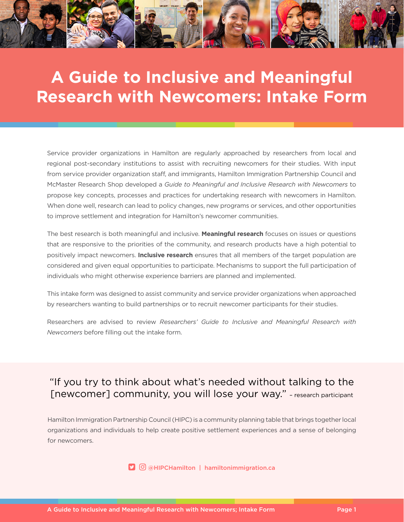

## **A Guide to Inclusive and Meaningful Research with Newcomers: Intake Form**

Service provider organizations in Hamilton are regularly approached by researchers from local and regional post-secondary institutions to assist with recruiting newcomers for their studies. With input from service provider organization staff, and immigrants, Hamilton Immigration Partnership Council and McMaster Research Shop developed a *Guide to Meaningful and Inclusive Research with Newcomers* to propose key concepts, processes and practices for undertaking research with newcomers in Hamilton. When done well, research can lead to policy changes, new programs or services, and other opportunities to improve settlement and integration for Hamilton's newcomer communities.

The best research is both meaningful and inclusive. **Meaningful research** focuses on issues or questions that are responsive to the priorities of the community, and research products have a high potential to positively impact newcomers. **Inclusive research** ensures that all members of the target population are considered and given equal opportunities to participate. Mechanisms to support the full participation of individuals who might otherwise experience barriers are planned and implemented.

This intake form was designed to assist community and service provider organizations when approached by researchers wanting to build partnerships or to recruit newcomer participants for their studies.

Researchers are advised to review *[Researchers' Guide to Inclusive and Meaningful Research with](https://www.hamiltonimmigration.ca/sites/default/files/2021-06/HIPC-Guide-to-Inclusive-and-Meaningful-Research-with-Hamilton-Newcomers.pdf) [Newcomers](https://www.hamiltonimmigration.ca/sites/default/files/2021-06/HIPC-Guide-to-Inclusive-and-Meaningful-Research-with-Hamilton-Newcomers.pdf)* before filling out the intake form.

## "If you try to think about what's needed without talking to the [newcomer] community, you will lose your way." – research participant

Hamilton Immigration Partnership Council (HIPC) is a community planning table that brings together local organizations and individuals to help create positive settlement experiences and a sense of belonging for newcomers.

**D** © @HIPCHamilton | [hamiltonimmigration.ca](http://www.hamiltonimmigration.ca)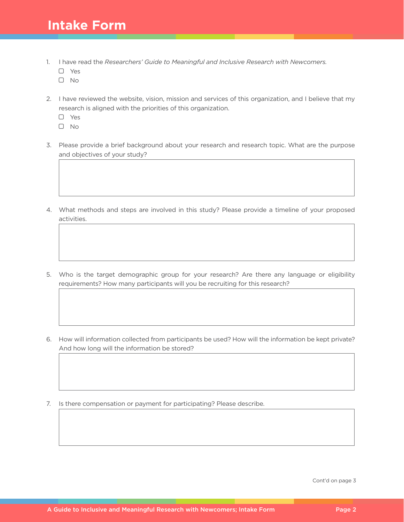## **Intake Form**

- 1. I have read the *[Researchers' Guide to Meaningful and Inclusive Research with Newcomers](https://www.hamiltonimmigration.ca/sites/default/files/2021-06/HIPC-Guide-to-Inclusive-and-Meaningful-Research-with-Hamilton-Newcomers.pdf).*
	- Yes
	- $\Box$  No
- 2. I have reviewed the website, vision, mission and services of this organization, and I believe that my research is aligned with the priorities of this organization.
	- Yes
	- No
- 3. Please provide a brief background about your research and research topic. What are the purpose and objectives of your study?
- 4. What methods and steps are involved in this study? Please provide a timeline of your proposed activities.
- 5. Who is the target demographic group for your research? Are there any language or eligibility requirements? How many participants will you be recruiting for this research?
- 6. How will information collected from participants be used? How will the information be kept private? And how long will the information be stored?
- 7. Is there compensation or payment for participating? Please describe.

Cont'd on page 3